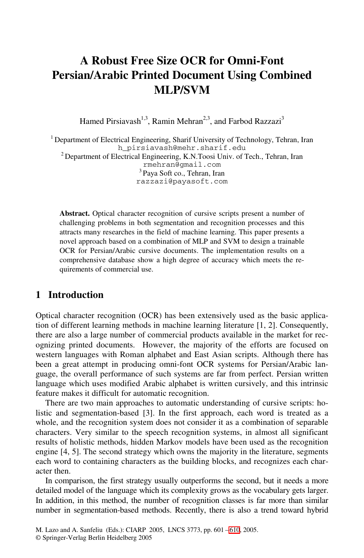# **A Robust Free Size OCR for Omni-Font Persian/Arabic Printed Document Using Combined MLP/SVM**

Hamed Pirsiavash<sup>1,3</sup>, Ramin Mehran<sup>2,3</sup>, and Farbod Razzazi<sup>3</sup>

<sup>1</sup> Department of Electrical Engineering, Sharif University of Technology, Tehran, Iran h\_pirsiavash@mehr.sharif.edu

 $2$  Department of Electrical Engineering, K.N.Toosi Univ. of Tech., Tehran, Iran rmehran@gmail.com

 $3$  Paya Soft co., Tehran, Iran razzazi@payasoft.com

**Abstract.** Optical character recognition of cursive scripts present a number of challenging problems in both segmentation and recognition processes and this attracts many researches in the field of machine learning. This paper presents a novel approach based on a combination of MLP and SVM to design a trainable OCR for Persian/Arabic cursive documents. The implementation results on a comprehensive database show a high degree of accuracy which meets the requirements of commercial use.

### **1 Introduction**

Optical character recognition (OCR) has been extensively used as the basic application of different learning methods in machine learning literature [1, 2]. Consequently, there are also a large number of commercial products available in the market for recognizing printed documents. However, the majority of the efforts are focused on western languages with Roman alphabet and East Asian scripts. Although there has been a great attempt in producing omni-font OCR systems for Persian/Arabic language, the overall performance of such systems are far from perfect. Persian written language which uses modified Arabic alphabet is written cursively, and this intrinsic feature makes it difficult for automatic recognition.

There are two main approaches to automatic understanding of cursive scripts: holistic and segmentation-based [3]. In the first approach, each word is treated as a whole, and the recognition system does not consider it as a combination of separable characters. Very similar to the speech recognition systems, in almost all significant results of holistic methods, hidden Markov models have been used as the recognition engine [4, 5]. The second strategy which owns the majority in the literature, segments each word to containing characters [as t](#page-9-0)he building blocks, and recognizes each character then.

In comparison, the first strategy usually outperforms the second, but it needs a more detailed model of the language which its complexity grows as the vocabulary gets larger. In addition, in this method, the number of recognition classes is far more than similar number in segmentation-based methods. Recently, there is also a trend toward hybrid

M. Lazo and A. Sanfeliu (Eds.): CIARP 2005, LNCS 3773, pp. 601 – 610, 2005.

© Springer-Verlag Berlin Heidelberg 2005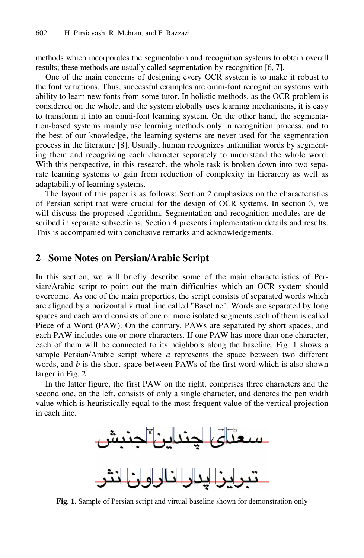methods which incorporates the segmentation and recognition systems to obtain overall results; these methods are usually called segmentation-by-recognition [6, 7].

One of the main concerns of designing every OCR system is to make it robust to the font variations. Thus, successful examples are omni-font recognition systems with ability to learn new fonts from some tutor. In holistic methods, as the OCR problem is considered on the whole, and the system globally uses learning mechanisms, it is easy to transform it into an omni-font learning system. On the other hand, the segmentation-based systems mainly use learning methods only in recognition process, and to the best of our knowledge, the learning systems are never used for the segmentation process in the literature [8]. Usually, human recognizes unfamiliar words by segmenting them and recognizing each character separately to understand the whole word. With this perspective, in this research, the whole task is broken down into two separate learning systems to gain from reduction of complexity in hierarchy as well as adaptability of learning systems.

The layout of this paper is as follows: Section 2 emphasizes on the characteristics of Persian script that were crucial for the design of OCR systems. In section 3, we will discuss the proposed algorithm. Segmentation and recognition modules are described in separate subsections. Section 4 presents implementation details and results. This is accompanied with conclusive remarks and acknowledgements.

### **2 Some Notes on Persian/Arabic Script**

In this section, we will briefly describe some of the main characteristics of Persian/Arabic script to point out the main difficulties which an OCR system should overcome. As one of the main properties, the script consists of separated words which are aligned by a horizontal virtual line called "Baseline". Words are separated by long spaces and each word consists of one or more isolated segments each of them is called Piece of a Word (PAW). On the contrary, PAWs are separated by short spaces, and each PAW includes one or more characters. If one PAW has more than one character, each of them will be connected to its neighbors along the baseline. Fig. 1 shows a sample Persian/Arabic script where *a* represents the space between two different words, and *b* is the short space between PAWs of the first word which is also shown larger in Fig. 2.

In the latter figure, the first PAW on the right, comprises three characters and the second one, on the left, consists of only a single character, and denotes the pen width value which is heuristically equal to the most frequent value of the vertical projection in each line.



**Fig. 1.** Sample of Persian script and virtual baseline shown for demonstration only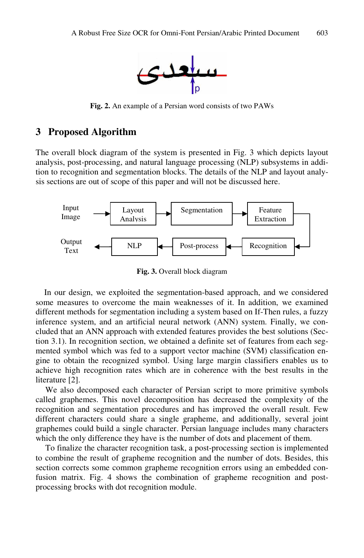

**Fig. 2.** An example of a Persian word consists of two PAWs

### **3 Proposed Algorithm**

The overall block diagram of the system is presented in Fig. 3 which depicts layout analysis, post-processing, and natural language processing (NLP) subsystems in addition to recognition and segmentation blocks. The details of the NLP and layout analysis sections are out of scope of this paper and will not be discussed here.



**Fig. 3.** Overall block diagram

 In our design, we exploited the segmentation-based approach, and we considered some measures to overcome the main weaknesses of it. In addition, we examined different methods for segmentation including a system based on If-Then rules, a fuzzy inference system, and an artificial neural network (ANN) system. Finally, we concluded that an ANN approach with extended features provides the best solutions (Section 3.1). In recognition section, we obtained a definite set of features from each segmented symbol which was fed to a support vector machine (SVM) classification engine to obtain the recognized symbol. Using large margin classifiers enables us to achieve high recognition rates which are in coherence with the best results in the literature [2].

We also decomposed each character of Persian script to more primitive symbols called graphemes. This novel decomposition has decreased the complexity of the recognition and segmentation procedures and has improved the overall result. Few different characters could share a single grapheme, and additionally, several joint graphemes could build a single character. Persian language includes many characters which the only difference they have is the number of dots and placement of them.

To finalize the character recognition task, a post-processing section is implemented to combine the result of grapheme recognition and the number of dots. Besides, this section corrects some common grapheme recognition errors using an embedded confusion matrix. Fig. 4 shows the combination of grapheme recognition and postprocessing brocks with dot recognition module.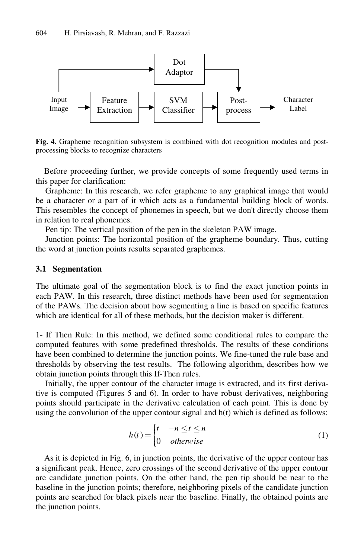

**Fig. 4.** Grapheme recognition subsystem is combined with dot recognition modules and postprocessing blocks to recognize characters

 Before proceeding further, we provide concepts of some frequently used terms in this paper for clarification:

Grapheme: In this research, we refer grapheme to any graphical image that would be a character or a part of it which acts as a fundamental building block of words. This resembles the concept of phonemes in speech, but we don't directly choose them in relation to real phonemes.

Pen tip: The vertical position of the pen in the skeleton PAW image.

Junction points: The horizontal position of the grapheme boundary. Thus, cutting the word at junction points results separated graphemes.

#### **3.1 Segmentation**

The ultimate goal of the segmentation block is to find the exact junction points in each PAW. In this research, three distinct methods have been used for segmentation of the PAWs. The decision about how segmenting a line is based on specific features which are identical for all of these methods, but the decision maker is different.

1- If Then Rule: In this method, we defined some conditional rules to compare the computed features with some predefined thresholds. The results of these conditions have been combined to determine the junction points. We fine-tuned the rule base and thresholds by observing the test results. The following algorithm, describes how we obtain junction points through this If-Then rules.

Initially, the upper contour of the character image is extracted, and its first derivative is computed (Figures 5 and 6). In order to have robust derivatives, neighboring points should participate in the derivative calculation of each point. This is done by using the convolution of the upper contour signal and h(t) which is defined as follows:

$$
h(t) = \begin{cases} t & -n \le t \le n \\ 0 & otherwise \end{cases}
$$
 (1)

 As it is depicted in Fig. 6, in junction points, the derivative of the upper contour has a significant peak. Hence, zero crossings of the second derivative of the upper contour are candidate junction points. On the other hand, the pen tip should be near to the baseline in the junction points; therefore, neighboring pixels of the candidate junction points are searched for black pixels near the baseline. Finally, the obtained points are the junction points.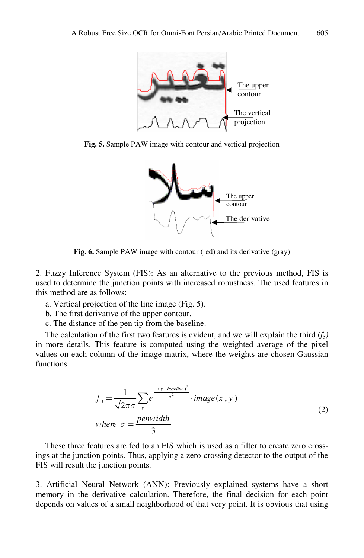

**Fig. 5.** Sample PAW image with contour and vertical projection



**Fig. 6.** Sample PAW image with contour (red) and its derivative (gray)

2. Fuzzy Inference System (FIS): As an alternative to the previous method, FIS is used to determine the junction points with increased robustness. The used features in this method are as follows:

a. Vertical projection of the line image (Fig. 5).

b. The first derivative of the upper contour.

c. The distance of the pen tip from the baseline.

The calculation of the first two features is evident, and we will explain the third  $(f_3)$ in more details. This feature is computed using the weighted average of the pixel values on each column of the image matrix, where the weights are chosen Gaussian functions.

$$
f_3 = \frac{1}{\sqrt{2\pi}\sigma} \sum_{y} e^{\frac{-(y - b\alpha \text{eline})^2}{\sigma^2} \cdot \text{image}(x, y)}
$$
  
where  $\sigma = \frac{\text{penwidth}}{3}$  (2)

These three features are fed to an FIS which is used as a filter to create zero crossings at the junction points. Thus, applying a zero-crossing detector to the output of the FIS will result the junction points.

3. Artificial Neural Network (ANN): Previously explained systems have a short memory in the derivative calculation. Therefore, the final decision for each point depends on values of a small neighborhood of that very point. It is obvious that using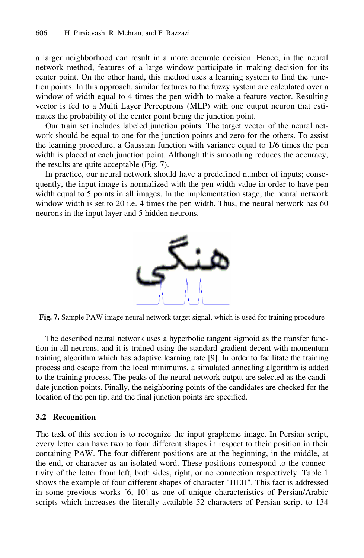a larger neighborhood can result in a more accurate decision. Hence, in the neural network method, features of a large window participate in making decision for its center point. On the other hand, this method uses a learning system to find the junction points. In this approach, similar features to the fuzzy system are calculated over a window of width equal to 4 times the pen width to make a feature vector. Resulting vector is fed to a Multi Layer Perceptrons (MLP) with one output neuron that estimates the probability of the center point being the junction point.

Our train set includes labeled junction points. The target vector of the neural network should be equal to one for the junction points and zero for the others. To assist the learning procedure, a Gaussian function with variance equal to 1/6 times the pen width is placed at each junction point. Although this smoothing reduces the accuracy, the results are quite acceptable (Fig. 7).

In practice, our neural network should have a predefined number of inputs; consequently, the input image is normalized with the pen width value in order to have pen width equal to 5 points in all images. In the implementation stage, the neural network window width is set to 20 i.e. 4 times the pen width. Thus, the neural network has 60 neurons in the input layer and 5 hidden neurons.



**Fig. 7.** Sample PAW image neural network target signal, which is used for training procedure

The described neural network uses a hyperbolic tangent sigmoid as the transfer function in all neurons, and it is trained using the standard gradient decent with momentum training algorithm which has adaptive learning rate [9]. In order to facilitate the training process and escape from the local minimums, a simulated annealing algorithm is added to the training process. The peaks of the neural network output are selected as the candidate junction points. Finally, the neighboring points of the candidates are checked for the location of the pen tip, and the final junction points are specified.

#### **3.2 Recognition**

The task of this section is to recognize the input grapheme image. In Persian script, every letter can have two to four different shapes in respect to their position in their containing PAW. The four different positions are at the beginning, in the middle, at the end, or character as an isolated word. These positions correspond to the connectivity of the letter from left, both sides, right, or no connection respectively. Table 1 shows the example of four different shapes of character "HEH". This fact is addressed in some previous works [6, 10] as one of unique characteristics of Persian/Arabic scripts which increases the literally available 52 characters of Persian script to 134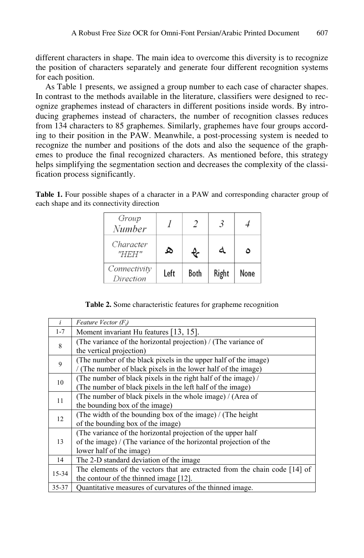different characters in shape. The main idea to overcome this diversity is to recognize the position of characters separately and generate four different recognition systems for each position.

As Table 1 presents, we assigned a group number to each case of character shapes. In contrast to the methods available in the literature, classifiers were designed to recognize graphemes instead of characters in different positions inside words. By introducing graphemes instead of characters, the number of recognition classes reduces from 134 characters to 85 graphemes. Similarly, graphemes have four groups according to their position in the PAW. Meanwhile, a post-processing system is needed to recognize the number and positions of the dots and also the sequence of the graphemes to produce the final recognized characters. As mentioned before, this strategy helps simplifying the segmentation section and decreases the complexity of the classification process significantly.

**Table 1.** Four possible shapes of a character in a PAW and corresponding character group of each shape and its connectivity direction

| Group<br>Number           |      |      |       |      |
|---------------------------|------|------|-------|------|
| Character<br>"HEH"        | ھ    |      |       |      |
| Connectivity<br>Direction | Left | Both | Right | None |

**Table 2.** Some characteristic features for grapheme recognition

| $\dot{i}$ | <i>Feature Vector</i> $(F_i)$                                              |
|-----------|----------------------------------------------------------------------------|
| $1 - 7$   | Moment invariant Hu features $[13, 15]$ .                                  |
| 8         | (The variance of the horizontal projection) / (The variance of             |
|           | the vertical projection)                                                   |
| 9         | (The number of the black pixels in the upper half of the image)            |
|           | / (The number of black pixels in the lower half of the image)              |
| 10        | (The number of black pixels in the right half of the image) /              |
|           | (The number of black pixels in the left half of the image)                 |
| 11        | (The number of black pixels in the whole image) / (Area of                 |
|           | the bounding box of the image)                                             |
| 12        | (The width of the bounding box of the image) / (The height)                |
|           | of the bounding box of the image)                                          |
| 13        | (The variance of the horizontal projection of the upper half               |
|           | of the image) / (The variance of the horizontal projection of the          |
|           | lower half of the image)                                                   |
| 14        | The 2-D standard deviation of the image                                    |
| 15-34     | The elements of the vectors that are extracted from the chain code [14] of |
|           | the contour of the thinned image $[12]$ .                                  |
| 35-37     | Quantitative measures of curvatures of the thinned image.                  |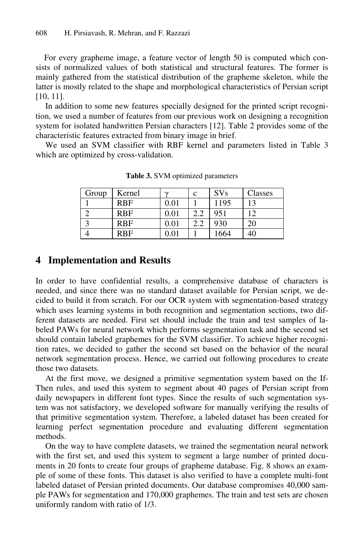For every grapheme image, a feature vector of length 50 is computed which consists of normalized values of both statistical and structural features. The former is mainly gathered from the statistical distribution of the grapheme skeleton, while the latter is mostly related to the shape and morphological characteristics of Persian script [10, 11].

In addition to some new features specially designed for the printed script recognition, we used a number of features from our previous work on designing a recognition system for isolated handwritten Persian characters [12]. Table 2 provides some of the characteristic features extracted from binary image in brief.

We used an SVM classifier with RBF kernel and parameters listed in Table 3 which are optimized by cross-validation.

| Group | Kernel     | $\gamma$   | с   | <b>SVs</b> | Classes |
|-------|------------|------------|-----|------------|---------|
|       | <b>RBF</b> | 0.01       |     | 1195       | 13      |
|       | <b>RBF</b> | 0.01       | 2.2 | 951        | 12      |
|       | <b>RBF</b> | 0.01       | 2.2 | 930        | 20      |
|       | <b>RBF</b> | $\rm 0.01$ |     | 1664       | 40      |

**Table 3.** SVM optimized parameters

### **4 Implementation and Results**

In order to have confidential results, a comprehensive database of characters is needed, and since there was no standard dataset available for Persian script, we decided to build it from scratch. For our OCR system with segmentation-based strategy which uses learning systems in both recognition and segmentation sections, two different datasets are needed. First set should include the train and test samples of labeled PAWs for neural network which performs segmentation task and the second set should contain labeled graphemes for the SVM classifier. To achieve higher recognition rates, we decided to gather the second set based on the behavior of the neural network segmentation process. Hence, we carried out following procedures to create those two datasets.

At the first move, we designed a primitive segmentation system based on the If-Then rules, and used this system to segment about 40 pages of Persian script from daily newspapers in different font types. Since the results of such segmentation system was not satisfactory, we developed software for manually verifying the results of that primitive segmentation system. Therefore, a labeled dataset has been created for learning perfect segmentation procedure and evaluating different segmentation methods.

On the way to have complete datasets, we trained the segmentation neural network with the first set, and used this system to segment a large number of printed documents in 20 fonts to create four groups of grapheme database. Fig. 8 shows an example of some of these fonts. This dataset is also verified to have a complete multi-font labeled dataset of Persian printed documents. Our database compromises 40,000 sample PAWs for segmentation and 170,000 graphemes. The train and test sets are chosen uniformly random with ratio of 1/3.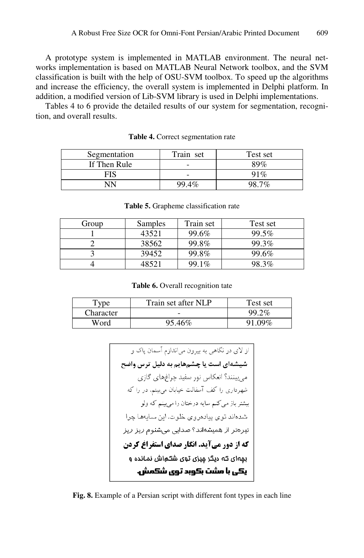A prototype system is implemented in MATLAB environment. The neural networks implementation is based on MATLAB Neural Network toolbox, and the SVM classification is built with the help of OSU-SVM toolbox. To speed up the algorithms and increase the efficiency, the overall system is implemented in Delphi platform. In addition, a modified version of Lib-SVM library is used in Delphi implementations.

Tables 4 to 6 provide the detailed results of our system for segmentation, recognition, and overall results.

| Segmentation | Train set | Test set |
|--------------|-----------|----------|
| If Then Rule |           | 89%      |
| FIS          |           | $91\%$   |
| NN           | $994\%$   | 7%       |

**Table 4.** Correct segmentation rate

| Group | Samples | Train set | Test set |
|-------|---------|-----------|----------|
|       | 43521   | 99.6%     | 99.5%    |
|       | 38562   | 99.8%     | 99.3%    |
|       | 39452   | 99.8%     | 99.6%    |
|       | 48521   | 99.1%     | 98.3%    |

#### **Table 5.** Grapheme classification rate

#### Table 6. Overall recognition tate

| $T$ vne   | Train set after NLP      | Test set |
|-----------|--------------------------|----------|
| Character | $\overline{\phantom{a}}$ | 99.2%    |
| Word      | 95.46%                   | 91.09%   |

از لای در نگاهی به بیرون می|ندازم آسمان یاک و شیشهای است یا چشمهایم به دلیل ترس واضح مي بينند؟ اتعكاس نور سفيد چراغهاي گازي شهرداری را کف آسفالت خیابان میبینم. در را که بیشتر باز می کنم سایه درختان را می بینم که ولو شدهاند توی پیادهروی خلوت. این سایهها چرا تیرهتر از همیشهاند؟ صدایی میشنوم ریز ریز **که از دور میآید. انگار صدای استفراغ کردن** ب<u>م</u>ه\ی که دیگر <u>می</u>زی توی ش*ک*ه\ش ن*مـا*نده و یکی با مشت بکوبد توی شکمش.

**Fig. 8.** Example of a Persian script with different font types in each line